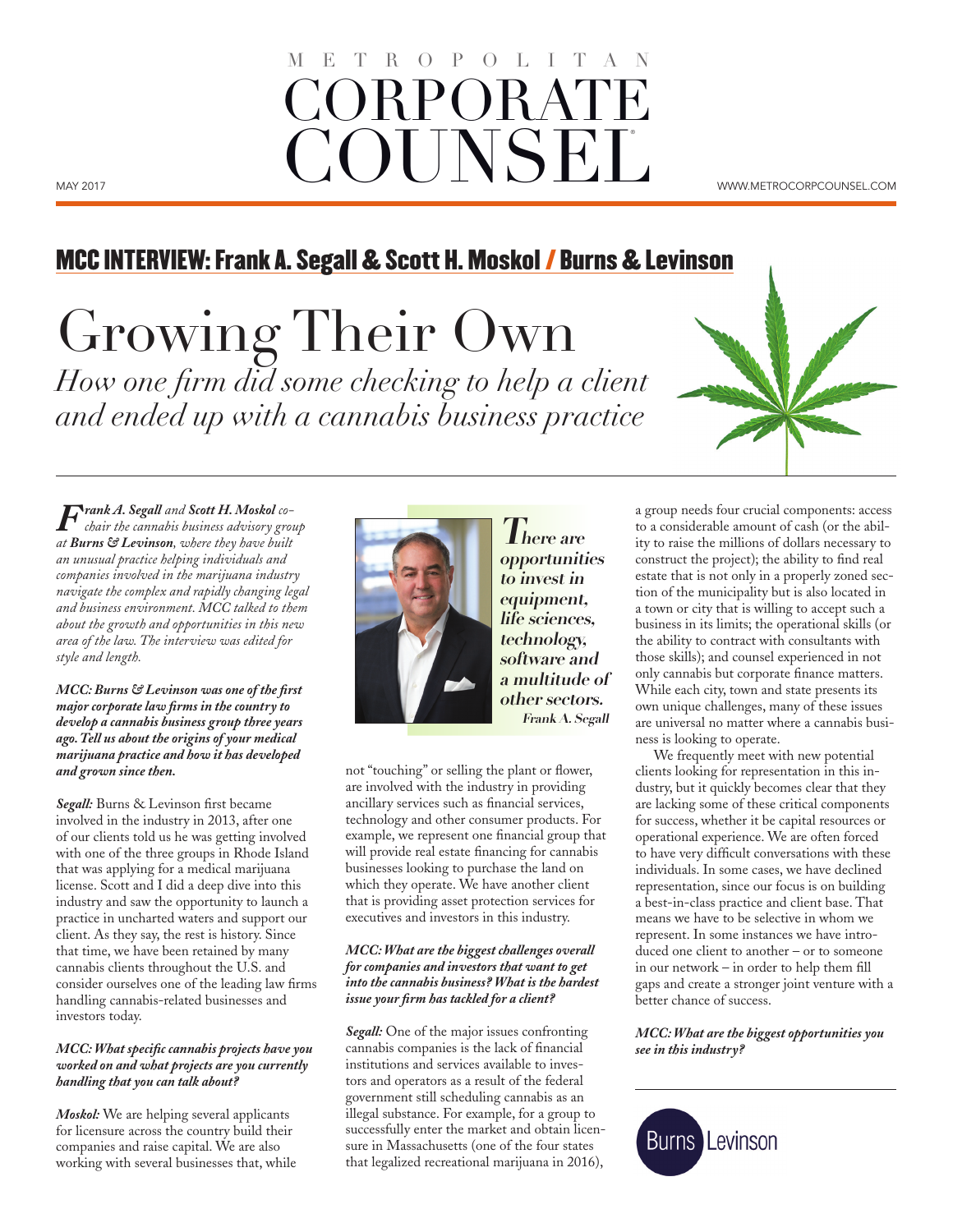# MAY 2017 WWW.METROCORPCOUNSEL.COM ORPORAT **COUNSEL**  $O$   $P$

## MCC INTERVIEW: Frank A. Segall & Scott H. Moskol / Burns & Levinson

Growing Their Own *How one firm did some checking to help a client and ended up with a cannabis business practice*

*Frank A. Segall and Scott H. Moskol cochair the cannabis business advisory group at Burns & Levinson, where they have built an unusual practice helping individuals and companies involved in the marijuana industry navigate the complex and rapidly changing legal and business environment. MCC talked to them about the growth and opportunities in this new area of the law. The interview was edited for style and length.*

*MCC: Burns & Levinson was one of the first major corporate law firms in the country to develop a cannabis business group three years ago. Tell us about the origins of your medical marijuana practice and how it has developed and grown since then.*

*Segall:* Burns & Levinson first became involved in the industry in 2013, after one of our clients told us he was getting involved with one of the three groups in Rhode Island that was applying for a medical marijuana license. Scott and I did a deep dive into this industry and saw the opportunity to launch a practice in uncharted waters and support our client. As they say, the rest is history. Since that time, we have been retained by many cannabis clients throughout the U.S. and consider ourselves one of the leading law firms handling cannabis-related businesses and investors today.

#### *MCC: What specific cannabis projects have you worked on and what projects are you currently handling that you can talk about?*

*Moskol:* We are helping several applicants for licensure across the country build their companies and raise capital. We are also working with several businesses that, while



**There are opportunities to invest in equipment, life sciences, technology, software and a multitude of other sectors. Frank A. Segall**

not "touching" or selling the plant or flower, are involved with the industry in providing ancillary services such as financial services, technology and other consumer products. For example, we represent one financial group that will provide real estate financing for cannabis businesses looking to purchase the land on which they operate. We have another client that is providing asset protection services for executives and investors in this industry.

### *MCC: What are the biggest challenges overall for companies and investors that want to get into the cannabis business? What is the hardest issue your firm has tackled for a client?*

*Segall:* One of the major issues confronting cannabis companies is the lack of financial institutions and services available to investors and operators as a result of the federal government still scheduling cannabis as an illegal substance. For example, for a group to successfully enter the market and obtain licensure in Massachusetts (one of the four states that legalized recreational marijuana in 2016),

a group needs four crucial components: access to a considerable amount of cash (or the ability to raise the millions of dollars necessary to construct the project); the ability to find real estate that is not only in a properly zoned section of the municipality but is also located in a town or city that is willing to accept such a business in its limits; the operational skills (or the ability to contract with consultants with those skills); and counsel experienced in not only cannabis but corporate finance matters. While each city, town and state presents its own unique challenges, many of these issues are universal no matter where a cannabis business is looking to operate.

We frequently meet with new potential clients looking for representation in this industry, but it quickly becomes clear that they are lacking some of these critical components for success, whether it be capital resources or operational experience. We are often forced to have very difficult conversations with these individuals. In some cases, we have declined representation, since our focus is on building a best-in-class practice and client base. That means we have to be selective in whom we represent. In some instances we have introduced one client to another – or to someone in our network – in order to help them fill gaps and create a stronger joint venture with a better chance of success.

*MCC: What are the biggest opportunities you see in this industry?*